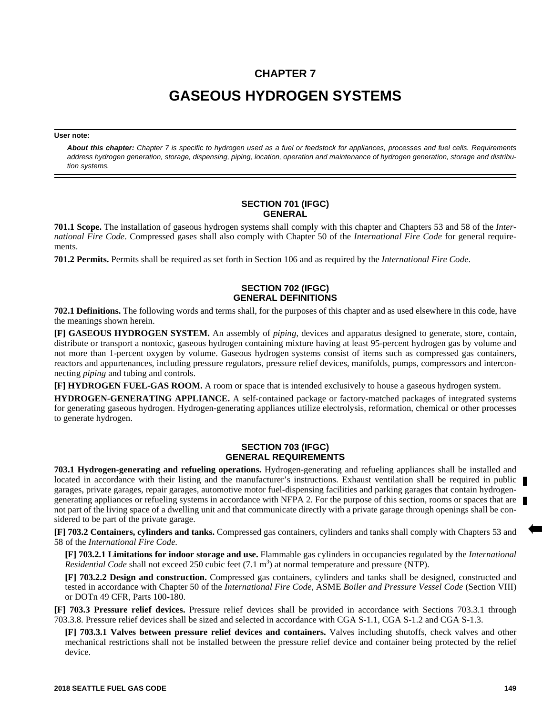## **CHAPTER 7**

# **GASEOUS HYDROGEN SYSTEMS**

#### **User note:**

*About this chapter: Chapter 7 is specific to hydrogen used as a fuel or feedstock for appliances, processes and fuel cells. Requirements address hydrogen generation, storage, dispensing, piping, location, operation and maintenance of hydrogen generation, storage and distribution systems.*

#### **SECTION 701 (IFGC) GENERAL**

**701.1 Scope.** The installation of gaseous hydrogen systems shall comply with this chapter and Chapters 53 and 58 of the *International Fire Code*. Compressed gases shall also comply with Chapter 50 of the *International Fire Code* for general requirements.

**701.2 Permits.** Permits shall be required as set forth in Section 106 and as required by the *International Fire Code*.

### **SECTION 702 (IFGC) GENERAL DEFINITIONS**

**702.1 Definitions.** The following words and terms shall, for the purposes of this chapter and as used elsewhere in this code, have the meanings shown herein.

**[F] GASEOUS HYDROGEN SYSTEM.** An assembly of *piping*, devices and apparatus designed to generate, store, contain, distribute or transport a nontoxic, gaseous hydrogen containing mixture having at least 95-percent hydrogen gas by volume and not more than 1-percent oxygen by volume. Gaseous hydrogen systems consist of items such as compressed gas containers, reactors and appurtenances, including pressure regulators, pressure relief devices, manifolds, pumps, compressors and interconnecting *piping* and tubing and controls.

**[F] HYDROGEN FUEL-GAS ROOM.** A room or space that is intended exclusively to house a gaseous hydrogen system.

**HYDROGEN-GENERATING APPLIANCE.** A self-contained package or factory-matched packages of integrated systems for generating gaseous hydrogen. Hydrogen-generating appliances utilize electrolysis, reformation, chemical or other processes to generate hydrogen.

#### **SECTION 703 (IFGC) GENERAL REQUIREMENTS**

**703.1 Hydrogen-generating and refueling operations.** Hydrogen-generating and refueling appliances shall be installed and located in accordance with their listing and the manufacturer's instructions. Exhaust ventilation shall be required in public garages, private garages, repair garages, automotive motor fuel-dispensing facilities and parking garages that contain hydrogengenerating appliances or refueling systems in accordance with NFPA 2. For the purpose of this section, rooms or spaces that are not part of the living space of a dwelling unit and that communicate directly with a private garage through openings shall be considered to be part of the private garage.

**[F] 703.2 Containers, cylinders and tanks.** Compressed gas containers, cylinders and tanks shall comply with Chapters 53 and 58 of the *International Fire Code*.

**[F] 703.2.1 Limitations for indoor storage and use.** Flammable gas cylinders in occupancies regulated by the *International* Residential Code shall not exceed 250 cubic feet (7.1 m<sup>3</sup>) at normal temperature and pressure (NTP).

**[F] 703.2.2 Design and construction.** Compressed gas containers, cylinders and tanks shall be designed, constructed and tested in accordance with Chapter 50 of the *International Fire Code,* ASME *Boiler and Pressure Vessel Code* (Section VIII) or DOTn 49 CFR, Parts 100-180.

**[F] 703.3 Pressure relief devices.** Pressure relief devices shall be provided in accordance with Sections 703.3.1 through 703.3.8. Pressure relief devices shall be sized and selected in accordance with CGA S-1.1, CGA S-1.2 and CGA S-1.3.

**[F] 703.3.1 Valves between pressure relief devices and containers.** Valves including shutoffs, check valves and other mechanical restrictions shall not be installed between the pressure relief device and container being protected by the relief device.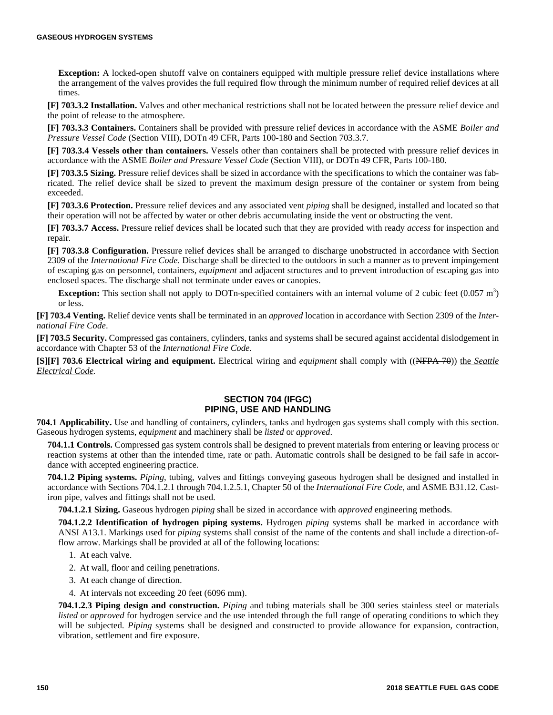**Exception:** A locked-open shutoff valve on containers equipped with multiple pressure relief device installations where the arrangement of the valves provides the full required flow through the minimum number of required relief devices at all times.

**[F] 703.3.2 Installation.** Valves and other mechanical restrictions shall not be located between the pressure relief device and the point of release to the atmosphere.

**[F] 703.3.3 Containers.** Containers shall be provided with pressure relief devices in accordance with the ASME *Boiler and Pressure Vessel Code* (Section VIII), DOTn 49 CFR, Parts 100-180 and Section 703.3.7.

**[F] 703.3.4 Vessels other than containers.** Vessels other than containers shall be protected with pressure relief devices in accordance with the ASME *Boiler and Pressure Vessel Code* (Section VIII), or DOTn 49 CFR, Parts 100-180.

**[F] 703.3.5 Sizing.** Pressure relief devices shall be sized in accordance with the specifications to which the container was fabricated. The relief device shall be sized to prevent the maximum design pressure of the container or system from being exceeded.

**[F] 703.3.6 Protection.** Pressure relief devices and any associated vent *piping* shall be designed, installed and located so that their operation will not be affected by water or other debris accumulating inside the vent or obstructing the vent.

**[F] 703.3.7 Access.** Pressure relief devices shall be located such that they are provided with ready *access* for inspection and repair.

**[F] 703.3.8 Configuration.** Pressure relief devices shall be arranged to discharge unobstructed in accordance with Section 2309 of the *International Fire Code*. Discharge shall be directed to the outdoors in such a manner as to prevent impingement of escaping gas on personnel, containers, *equipment* and adjacent structures and to prevent introduction of escaping gas into enclosed spaces. The discharge shall not terminate under eaves or canopies.

**Exception:** This section shall not apply to DOTn-specified containers with an internal volume of 2 cubic feet  $(0.057 \text{ m}^3)$ or less.

**[F] 703.4 Venting.** Relief device vents shall be terminated in an *approved* location in accordance with Section 2309 of the *International Fire Code*.

**[F] 703.5 Security.** Compressed gas containers, cylinders, tanks and systems shall be secured against accidental dislodgement in accordance with Chapter 53 of the *International Fire Code*.

**[S][F] 703.6 Electrical wiring and equipment.** Electrical wiring and *equipment* shall comply with ((NFPA 70)) the *Seattle Electrical Code.*

#### **SECTION 704 (IFGC) PIPING, USE AND HANDLING**

**704.1 Applicability.** Use and handling of containers, cylinders, tanks and hydrogen gas systems shall comply with this section. Gaseous hydrogen systems, *equipment* and machinery shall be *listed* or *approved*.

**704.1.1 Controls.** Compressed gas system controls shall be designed to prevent materials from entering or leaving process or reaction systems at other than the intended time, rate or path. Automatic controls shall be designed to be fail safe in accordance with accepted engineering practice.

**704.1.2 Piping systems.** *Piping*, tubing, valves and fittings conveying gaseous hydrogen shall be designed and installed in accordance with Sections 704.1.2.1 through 704.1.2.5.1, Chapter 50 of the *International Fire Code,* and ASME B31.12. Castiron pipe, valves and fittings shall not be used.

**704.1.2.1 Sizing.** Gaseous hydrogen *piping* shall be sized in accordance with *approved* engineering methods.

**704.1.2.2 Identification of hydrogen piping systems.** Hydrogen *piping* systems shall be marked in accordance with ANSI A13.1. Markings used for *piping* systems shall consist of the name of the contents and shall include a direction-offlow arrow. Markings shall be provided at all of the following locations:

- 1. At each valve.
- 2. At wall, floor and ceiling penetrations.
- 3. At each change of direction.
- 4. At intervals not exceeding 20 feet (6096 mm).

**704.1.2.3 Piping design and construction.** *Piping* and tubing materials shall be 300 series stainless steel or materials *listed* or *approved* for hydrogen service and the use intended through the full range of operating conditions to which they will be subjected. *Piping* systems shall be designed and constructed to provide allowance for expansion, contraction, vibration, settlement and fire exposure.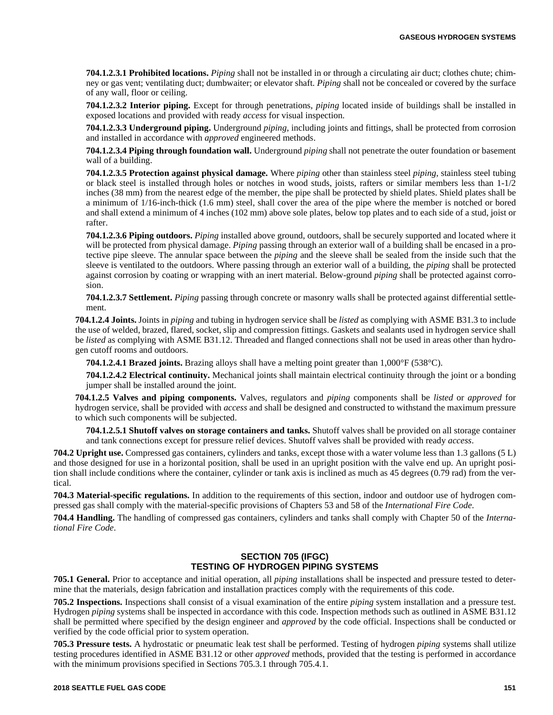**704.1.2.3.1 Prohibited locations.** *Piping* shall not be installed in or through a circulating air duct; clothes chute; chimney or gas vent; ventilating duct; dumbwaiter; or elevator shaft. *Piping* shall not be concealed or covered by the surface of any wall, floor or ceiling.

**704.1.2.3.2 Interior piping.** Except for through penetrations, *piping* located inside of buildings shall be installed in exposed locations and provided with ready *access* for visual inspection.

**704.1.2.3.3 Underground piping.** Underground *piping*, including joints and fittings, shall be protected from corrosion and installed in accordance with *approved* engineered methods.

**704.1.2.3.4 Piping through foundation wall.** Underground *piping* shall not penetrate the outer foundation or basement wall of a building.

**704.1.2.3.5 Protection against physical damage.** Where *piping* other than stainless steel *piping*, stainless steel tubing or black steel is installed through holes or notches in wood studs, joists, rafters or similar members less than 1-1/2 inches (38 mm) from the nearest edge of the member, the pipe shall be protected by shield plates. Shield plates shall be a minimum of 1/16-inch-thick (1.6 mm) steel, shall cover the area of the pipe where the member is notched or bored and shall extend a minimum of 4 inches (102 mm) above sole plates, below top plates and to each side of a stud, joist or rafter.

**704.1.2.3.6 Piping outdoors.** *Piping* installed above ground, outdoors, shall be securely supported and located where it will be protected from physical damage. *Piping* passing through an exterior wall of a building shall be encased in a protective pipe sleeve. The annular space between the *piping* and the sleeve shall be sealed from the inside such that the sleeve is ventilated to the outdoors. Where passing through an exterior wall of a building, the *piping* shall be protected against corrosion by coating or wrapping with an inert material. Below-ground *piping* shall be protected against corrosion.

**704.1.2.3.7 Settlement.** *Piping* passing through concrete or masonry walls shall be protected against differential settlement.

**704.1.2.4 Joints.** Joints in *piping* and tubing in hydrogen service shall be *listed* as complying with ASME B31.3 to include the use of welded, brazed, flared, socket, slip and compression fittings. Gaskets and sealants used in hydrogen service shall be *listed* as complying with ASME B31.12. Threaded and flanged connections shall not be used in areas other than hydrogen cutoff rooms and outdoors.

**704.1.2.4.1 Brazed joints.** Brazing alloys shall have a melting point greater than 1,000°F (538°C).

**704.1.2.4.2 Electrical continuity.** Mechanical joints shall maintain electrical continuity through the joint or a bonding jumper shall be installed around the joint.

**704.1.2.5 Valves and piping components.** Valves, regulators and *piping* components shall be *listed* or *approved* for hydrogen service, shall be provided with *access* and shall be designed and constructed to withstand the maximum pressure to which such components will be subjected.

**704.1.2.5.1 Shutoff valves on storage containers and tanks.** Shutoff valves shall be provided on all storage container and tank connections except for pressure relief devices. Shutoff valves shall be provided with ready *access*.

**704.2 Upright use.** Compressed gas containers, cylinders and tanks, except those with a water volume less than 1.3 gallons (5 L) and those designed for use in a horizontal position, shall be used in an upright position with the valve end up. An upright position shall include conditions where the container, cylinder or tank axis is inclined as much as 45 degrees (0.79 rad) from the vertical.

**704.3 Material-specific regulations.** In addition to the requirements of this section, indoor and outdoor use of hydrogen compressed gas shall comply with the material-specific provisions of Chapters 53 and 58 of the *International Fire Code*.

**704.4 Handling.** The handling of compressed gas containers, cylinders and tanks shall comply with Chapter 50 of the *International Fire Code*.

#### **SECTION 705 (IFGC) TESTING OF HYDROGEN PIPING SYSTEMS**

**705.1 General.** Prior to acceptance and initial operation, all *piping* installations shall be inspected and pressure tested to determine that the materials, design fabrication and installation practices comply with the requirements of this code.

**705.2 Inspections.** Inspections shall consist of a visual examination of the entire *piping* system installation and a pressure test. Hydrogen *piping* systems shall be inspected in accordance with this code. Inspection methods such as outlined in ASME B31.12 shall be permitted where specified by the design engineer and *approved* by the code official. Inspections shall be conducted or verified by the code official prior to system operation.

**705.3 Pressure tests.** A hydrostatic or pneumatic leak test shall be performed. Testing of hydrogen *piping* systems shall utilize testing procedures identified in ASME B31.12 or other *approved* methods, provided that the testing is performed in accordance with the minimum provisions specified in Sections 705.3.1 through 705.4.1.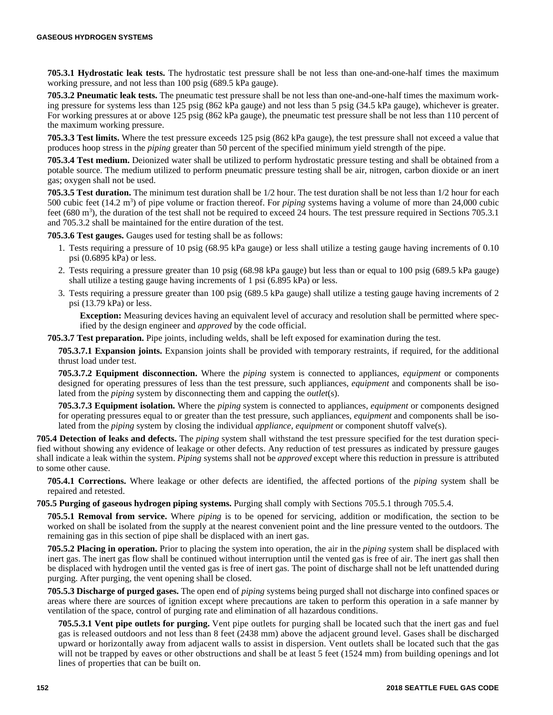**705.3.1 Hydrostatic leak tests.** The hydrostatic test pressure shall be not less than one-and-one-half times the maximum working pressure, and not less than 100 psig (689.5 kPa gauge).

**705.3.2 Pneumatic leak tests.** The pneumatic test pressure shall be not less than one-and-one-half times the maximum working pressure for systems less than 125 psig (862 kPa gauge) and not less than 5 psig (34.5 kPa gauge), whichever is greater. For working pressures at or above 125 psig (862 kPa gauge), the pneumatic test pressure shall be not less than 110 percent of the maximum working pressure.

**705.3.3 Test limits.** Where the test pressure exceeds 125 psig (862 kPa gauge), the test pressure shall not exceed a value that produces hoop stress in the *piping* greater than 50 percent of the specified minimum yield strength of the pipe.

**705.3.4 Test medium.** Deionized water shall be utilized to perform hydrostatic pressure testing and shall be obtained from a potable source. The medium utilized to perform pneumatic pressure testing shall be air, nitrogen, carbon dioxide or an inert gas; oxygen shall not be used.

**705.3.5 Test duration.** The minimum test duration shall be 1/2 hour. The test duration shall be not less than 1/2 hour for each 500 cubic feet (14.2 m<sup>3</sup>) of pipe volume or fraction thereof. For *piping* systems having a volume of more than 24,000 cubic feet (680 m<sup>3</sup>), the duration of the test shall not be required to exceed 24 hours. The test pressure required in Sections 705.3.1 and 705.3.2 shall be maintained for the entire duration of the test.

**705.3.6 Test gauges.** Gauges used for testing shall be as follows:

- 1. Tests requiring a pressure of 10 psig (68.95 kPa gauge) or less shall utilize a testing gauge having increments of 0.10 psi (0.6895 kPa) or less.
- 2. Tests requiring a pressure greater than 10 psig (68.98 kPa gauge) but less than or equal to 100 psig (689.5 kPa gauge) shall utilize a testing gauge having increments of 1 psi (6.895 kPa) or less.
- 3. Tests requiring a pressure greater than 100 psig (689.5 kPa gauge) shall utilize a testing gauge having increments of 2 psi (13.79 kPa) or less.

**Exception:** Measuring devices having an equivalent level of accuracy and resolution shall be permitted where specified by the design engineer and *approved* by the code official.

**705.3.7 Test preparation.** Pipe joints, including welds, shall be left exposed for examination during the test.

**705.3.7.1 Expansion joints.** Expansion joints shall be provided with temporary restraints, if required, for the additional thrust load under test.

**705.3.7.2 Equipment disconnection.** Where the *piping* system is connected to appliances, *equipment* or components designed for operating pressures of less than the test pressure, such appliances, *equipment* and components shall be isolated from the *piping* system by disconnecting them and capping the *outlet*(s).

**705.3.7.3 Equipment isolation.** Where the *piping* system is connected to appliances, *equipment* or components designed for operating pressures equal to or greater than the test pressure, such appliances, *equipment* and components shall be isolated from the *piping* system by closing the individual *appliance, equipment* or component shutoff valve(s).

**705.4 Detection of leaks and defects.** The *piping* system shall withstand the test pressure specified for the test duration specified without showing any evidence of leakage or other defects. Any reduction of test pressures as indicated by pressure gauges shall indicate a leak within the system. *Piping* systems shall not be *approved* except where this reduction in pressure is attributed to some other cause.

**705.4.1 Corrections.** Where leakage or other defects are identified, the affected portions of the *piping* system shall be repaired and retested.

**705.5 Purging of gaseous hydrogen piping systems.** Purging shall comply with Sections 705.5.1 through 705.5.4.

**705.5.1 Removal from service.** Where *piping* is to be opened for servicing, addition or modification, the section to be worked on shall be isolated from the supply at the nearest convenient point and the line pressure vented to the outdoors. The remaining gas in this section of pipe shall be displaced with an inert gas.

**705.5.2 Placing in operation.** Prior to placing the system into operation, the air in the *piping* system shall be displaced with inert gas. The inert gas flow shall be continued without interruption until the vented gas is free of air. The inert gas shall then be displaced with hydrogen until the vented gas is free of inert gas. The point of discharge shall not be left unattended during purging. After purging, the vent opening shall be closed.

**705.5.3 Discharge of purged gases.** The open end of *piping* systems being purged shall not discharge into confined spaces or areas where there are sources of ignition except where precautions are taken to perform this operation in a safe manner by ventilation of the space, control of purging rate and elimination of all hazardous conditions.

**705.5.3.1 Vent pipe outlets for purging.** Vent pipe outlets for purging shall be located such that the inert gas and fuel gas is released outdoors and not less than 8 feet (2438 mm) above the adjacent ground level. Gases shall be discharged upward or horizontally away from adjacent walls to assist in dispersion. Vent outlets shall be located such that the gas will not be trapped by eaves or other obstructions and shall be at least 5 feet (1524 mm) from building openings and lot lines of properties that can be built on.